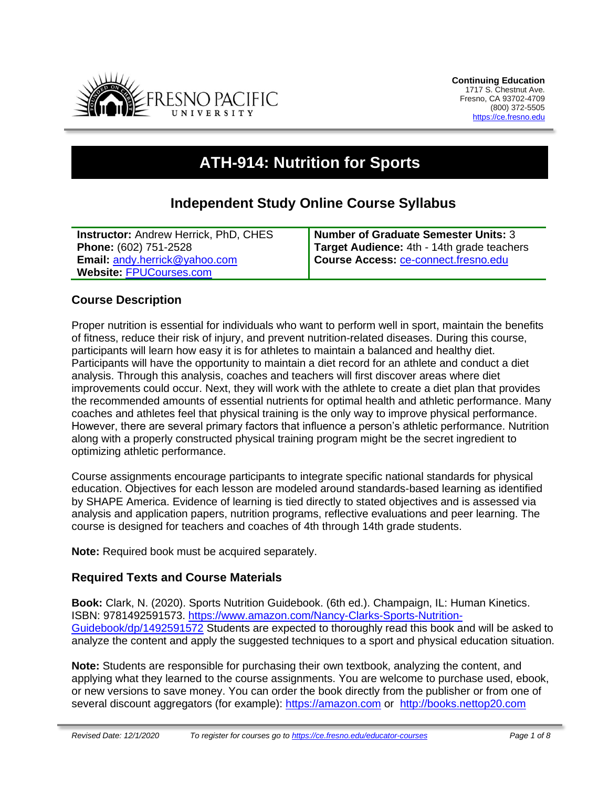

# **ATH-914: Nutrition for Sports**

# **Independent Study Online Course Syllabus**

| <b>Instructor: Andrew Herrick, PhD, CHES</b> | Number of Graduate Semester Units: 3        |
|----------------------------------------------|---------------------------------------------|
| Phone: (602) 751-2528                        | Target Audience: 4th - 14th grade teachers  |
| <b>Email: andy.herrick@yahoo.com</b>         | <b>Course Access: ce-connect.fresno.edu</b> |
| Website: FPUCourses.com                      |                                             |

### **Course Description**

Proper nutrition is essential for individuals who want to perform well in sport, maintain the benefits of fitness, reduce their risk of injury, and prevent nutrition-related diseases. During this course, participants will learn how easy it is for athletes to maintain a balanced and healthy diet. Participants will have the opportunity to maintain a diet record for an athlete and conduct a diet analysis. Through this analysis, coaches and teachers will first discover areas where diet improvements could occur. Next, they will work with the athlete to create a diet plan that provides the recommended amounts of essential nutrients for optimal health and athletic performance. Many coaches and athletes feel that physical training is the only way to improve physical performance. However, there are several primary factors that influence a person's athletic performance. Nutrition along with a properly constructed physical training program might be the secret ingredient to optimizing athletic performance.

Course assignments encourage participants to integrate specific national standards for physical education. Objectives for each lesson are modeled around standards-based learning as identified by SHAPE America. Evidence of learning is tied directly to stated objectives and is assessed via analysis and application papers, nutrition programs, reflective evaluations and peer learning. The course is designed for teachers and coaches of 4th through 14th grade students.

**Note:** Required book must be acquired separately.

### **Required Texts and Course Materials**

**Book:** Clark, N. (2020). Sports Nutrition Guidebook. (6th ed.). Champaign, IL: Human Kinetics. ISBN: 9781492591573. [https://www.amazon.com/Nancy-Clarks-Sports-Nutrition-](https://www.amazon.com/Nancy-Clarks-Sports-Nutrition-Guidebook/dp/1492591572)[Guidebook/dp/1492591572](https://www.amazon.com/Nancy-Clarks-Sports-Nutrition-Guidebook/dp/1492591572) Students are expected to thoroughly read this book and will be asked to analyze the content and apply the suggested techniques to a sport and physical education situation.

**Note:** Students are responsible for purchasing their own textbook, analyzing the content, and applying what they learned to the course assignments. You are welcome to purchase used, ebook, or new versions to save money. You can order the book directly from the publisher or from one of several discount aggregators (for example): [https://amazon.com](https://amazon.com/) or [http://books.nettop20.com](http://books.nettop20.com/)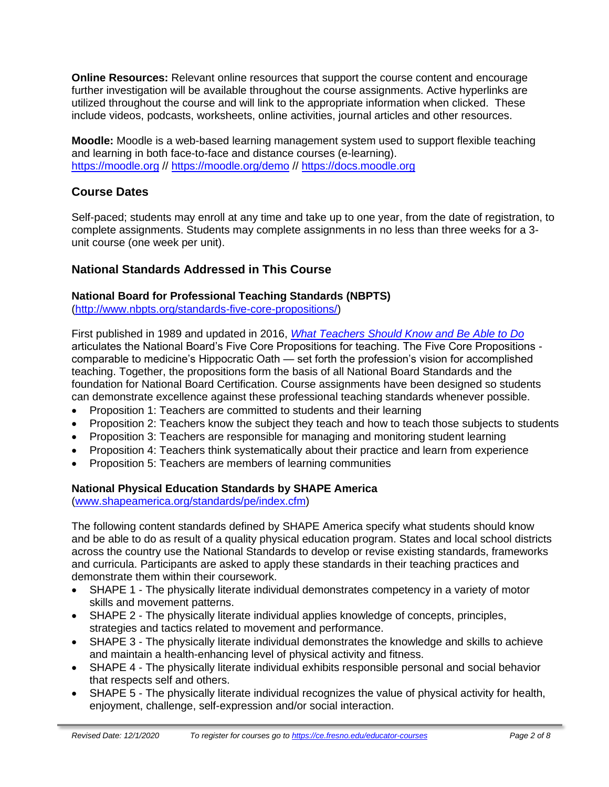**Online Resources:** Relevant online resources that support the course content and encourage further investigation will be available throughout the course assignments. Active hyperlinks are utilized throughout the course and will link to the appropriate information when clicked. These include videos, podcasts, worksheets, online activities, journal articles and other resources.

**Moodle:** Moodle is a web-based learning management system used to support flexible teaching and learning in both face-to-face and distance courses (e-learning). [https://moodle.org](https://moodle.org/) //<https://moodle.org/demo> // [https://docs.moodle.org](https://docs.moodle.org/)

# **Course Dates**

Self-paced; students may enroll at any time and take up to one year, from the date of registration, to complete assignments. Students may complete assignments in no less than three weeks for a 3 unit course (one week per unit).

# **National Standards Addressed in This Course**

### **National Board for Professional Teaching Standards (NBPTS)**

[\(http://www.nbpts.org/standards-five-core-propositions/\)](http://www.nbpts.org/standards-five-core-propositions/)

First published in 1989 and updated in 2016, *[What Teachers Should Know and Be Able to Do](http://www.accomplishedteacher.org/)* articulates the National Board's Five Core Propositions for teaching. The Five Core Propositions comparable to medicine's Hippocratic Oath — set forth the profession's vision for accomplished teaching. Together, the propositions form the basis of all National Board Standards and the foundation for National Board Certification. Course assignments have been designed so students can demonstrate excellence against these professional teaching standards whenever possible.

- Proposition 1: Teachers are committed to students and their learning
- Proposition 2: Teachers know the subject they teach and how to teach those subjects to students
- Proposition 3: Teachers are responsible for managing and monitoring student learning
- Proposition 4: Teachers think systematically about their practice and learn from experience
- Proposition 5: Teachers are members of learning communities

### **National Physical Education Standards by SHAPE America**

[\(www.shapeamerica.org/standards/pe/index.cfm\)](http://www.shapeamerica.org/standards/pe/index.cfm)

The following content standards defined by SHAPE America specify what students should know and be able to do as result of a quality physical education program. States and local school districts across the country use the National Standards to develop or revise existing standards, frameworks and curricula. Participants are asked to apply these standards in their teaching practices and demonstrate them within their coursework.

- SHAPE 1 The physically literate individual demonstrates competency in a variety of motor skills and movement patterns.
- SHAPE 2 The physically literate individual applies knowledge of concepts, principles, strategies and tactics related to movement and performance.
- SHAPE 3 The physically literate individual demonstrates the knowledge and skills to achieve and maintain a health-enhancing level of physical activity and fitness.
- SHAPE 4 The physically literate individual exhibits responsible personal and social behavior that respects self and others.
- SHAPE 5 The physically literate individual recognizes the value of physical activity for health, enjoyment, challenge, self-expression and/or social interaction.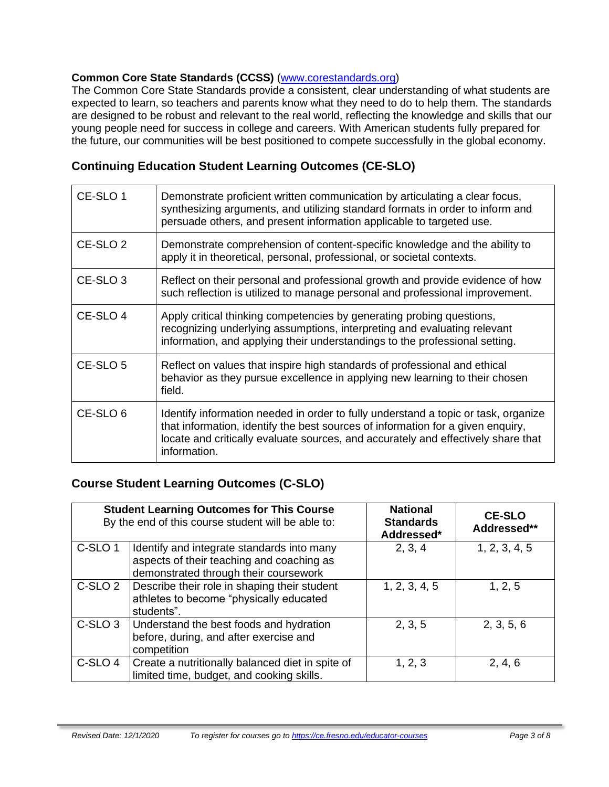### **Common Core State Standards (CCSS)** [\(www.corestandards.org\)](http://www.corestandards.org/)

The Common Core State Standards provide a consistent, clear understanding of what students are expected to learn, so teachers and parents know what they need to do to help them. The standards are designed to be robust and relevant to the real world, reflecting the knowledge and skills that our young people need for success in college and careers. With American students fully prepared for the future, our communities will be best positioned to compete successfully in the global economy.

## **Continuing Education Student Learning Outcomes (CE-SLO)**

| CE-SLO 1            | Demonstrate proficient written communication by articulating a clear focus,<br>synthesizing arguments, and utilizing standard formats in order to inform and<br>persuade others, and present information applicable to targeted use.                                       |
|---------------------|----------------------------------------------------------------------------------------------------------------------------------------------------------------------------------------------------------------------------------------------------------------------------|
| CE-SLO <sub>2</sub> | Demonstrate comprehension of content-specific knowledge and the ability to<br>apply it in theoretical, personal, professional, or societal contexts.                                                                                                                       |
| CE-SLO <sub>3</sub> | Reflect on their personal and professional growth and provide evidence of how<br>such reflection is utilized to manage personal and professional improvement.                                                                                                              |
| CE-SLO 4            | Apply critical thinking competencies by generating probing questions,<br>recognizing underlying assumptions, interpreting and evaluating relevant<br>information, and applying their understandings to the professional setting.                                           |
| CE-SLO 5            | Reflect on values that inspire high standards of professional and ethical<br>behavior as they pursue excellence in applying new learning to their chosen<br>field.                                                                                                         |
| CE-SLO <sub>6</sub> | Identify information needed in order to fully understand a topic or task, organize<br>that information, identify the best sources of information for a given enquiry,<br>locate and critically evaluate sources, and accurately and effectively share that<br>information. |

### **Course Student Learning Outcomes (C-SLO)**

| <b>Student Learning Outcomes for This Course</b><br>By the end of this course student will be able to: |                                                                                                                                  | <b>National</b><br><b>Standards</b><br>Addressed* | <b>CE-SLO</b><br>Addressed** |
|--------------------------------------------------------------------------------------------------------|----------------------------------------------------------------------------------------------------------------------------------|---------------------------------------------------|------------------------------|
| C-SLO <sub>1</sub>                                                                                     | Identify and integrate standards into many<br>aspects of their teaching and coaching as<br>demonstrated through their coursework | 2, 3, 4                                           | 1, 2, 3, 4, 5                |
| C-SLO <sub>2</sub>                                                                                     | Describe their role in shaping their student<br>athletes to become "physically educated<br>students".                            | 1, 2, 3, 4, 5                                     | 1, 2, 5                      |
| C-SLO <sub>3</sub>                                                                                     | Understand the best foods and hydration<br>before, during, and after exercise and<br>competition                                 | 2, 3, 5                                           | 2, 3, 5, 6                   |
| C-SLO 4                                                                                                | Create a nutritionally balanced diet in spite of<br>limited time, budget, and cooking skills.                                    | 1, 2, 3                                           | 2, 4, 6                      |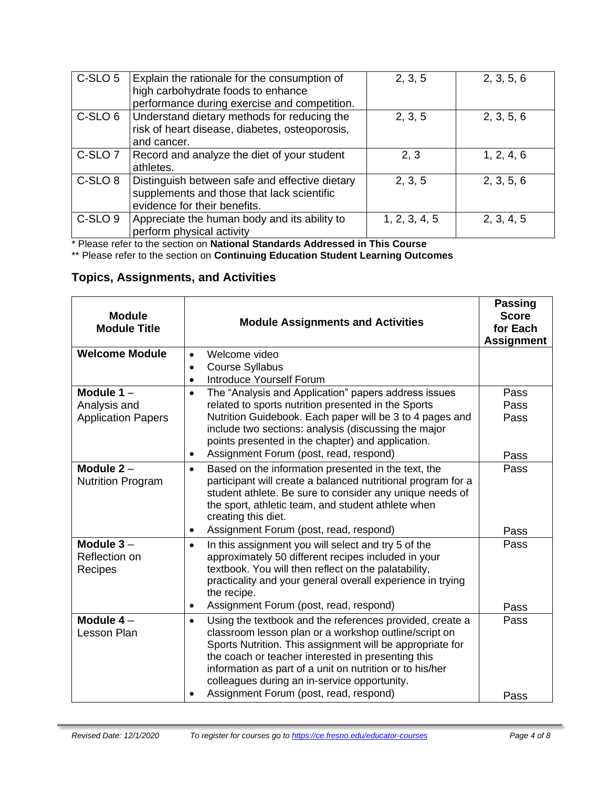| C-SLO 5            | Explain the rationale for the consumption of<br>high carbohydrate foods to enhance<br>performance during exercise and competition. | 2, 3, 5       | 2, 3, 5, 6 |
|--------------------|------------------------------------------------------------------------------------------------------------------------------------|---------------|------------|
| C-SLO 6            | Understand dietary methods for reducing the<br>risk of heart disease, diabetes, osteoporosis,<br>and cancer.                       | 2, 3, 5       | 2, 3, 5, 6 |
| C-SLO <sub>7</sub> | Record and analyze the diet of your student<br>athletes.                                                                           | 2, 3          | 1, 2, 4, 6 |
| C-SLO <sub>8</sub> | Distinguish between safe and effective dietary<br>supplements and those that lack scientific<br>evidence for their benefits.       | 2, 3, 5       | 2, 3, 5, 6 |
| C-SLO <sub>9</sub> | Appreciate the human body and its ability to<br>perform physical activity                                                          | 1, 2, 3, 4, 5 | 2, 3, 4, 5 |

\* Please refer to the section on **National Standards Addressed in This Course**

\*\* Please refer to the section on **Continuing Education Student Learning Outcomes**

# **Topics, Assignments, and Activities**

| <b>Module</b><br><b>Module Title</b>                      | <b>Module Assignments and Activities</b>                                                                                                                                                                                                                                                                                                                                                                | <b>Passing</b><br><b>Score</b><br>for Each<br><b>Assignment</b> |
|-----------------------------------------------------------|---------------------------------------------------------------------------------------------------------------------------------------------------------------------------------------------------------------------------------------------------------------------------------------------------------------------------------------------------------------------------------------------------------|-----------------------------------------------------------------|
| <b>Welcome Module</b>                                     | Welcome video<br>$\bullet$<br><b>Course Syllabus</b><br>$\bullet$<br><b>Introduce Yourself Forum</b>                                                                                                                                                                                                                                                                                                    |                                                                 |
| Module $1 -$<br>Analysis and<br><b>Application Papers</b> | The "Analysis and Application" papers address issues<br>$\bullet$<br>related to sports nutrition presented in the Sports<br>Nutrition Guidebook. Each paper will be 3 to 4 pages and<br>include two sections: analysis (discussing the major<br>points presented in the chapter) and application.<br>Assignment Forum (post, read, respond)                                                             | Pass<br>Pass<br>Pass<br>Pass                                    |
| Module $2 -$<br><b>Nutrition Program</b>                  | Based on the information presented in the text, the<br>$\bullet$<br>participant will create a balanced nutritional program for a<br>student athlete. Be sure to consider any unique needs of<br>the sport, athletic team, and student athlete when<br>creating this diet.<br>Assignment Forum (post, read, respond)                                                                                     | Pass<br>Pass                                                    |
| Module $3 -$<br>Reflection on<br>Recipes                  | In this assignment you will select and try 5 of the<br>$\bullet$<br>approximately 50 different recipes included in your<br>textbook. You will then reflect on the palatability,<br>practicality and your general overall experience in trying<br>the recipe.<br>Assignment Forum (post, read, respond)<br>$\bullet$                                                                                     | Pass<br>Pass                                                    |
| Module $4-$<br>Lesson Plan                                | Using the textbook and the references provided, create a<br>$\bullet$<br>classroom lesson plan or a workshop outline/script on<br>Sports Nutrition. This assignment will be appropriate for<br>the coach or teacher interested in presenting this<br>information as part of a unit on nutrition or to his/her<br>colleagues during an in-service opportunity.<br>Assignment Forum (post, read, respond) | Pass<br>Pass                                                    |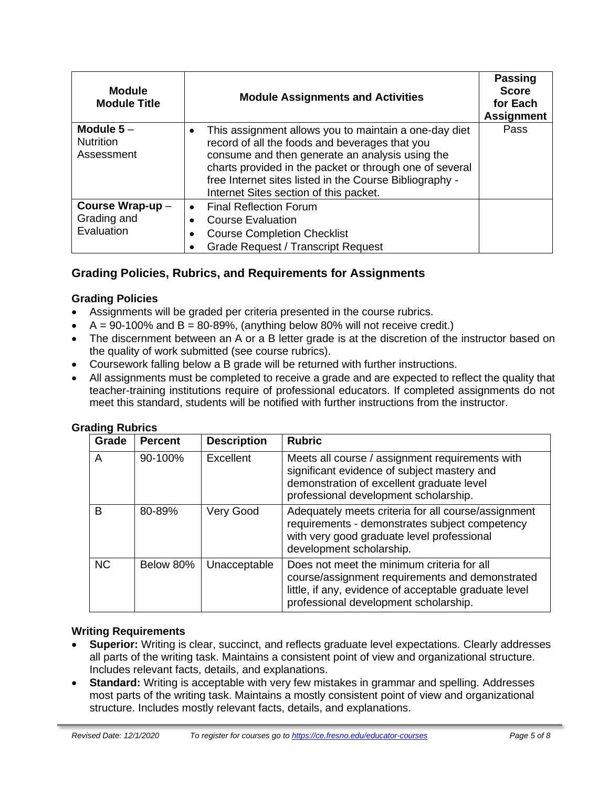| <b>Module</b><br><b>Module Title</b>          | <b>Module Assignments and Activities</b>                                                                                                                                                                                                                                                                                   | <b>Passing</b><br><b>Score</b><br>for Each<br><b>Assignment</b> |
|-----------------------------------------------|----------------------------------------------------------------------------------------------------------------------------------------------------------------------------------------------------------------------------------------------------------------------------------------------------------------------------|-----------------------------------------------------------------|
| Module $5-$<br><b>Nutrition</b><br>Assessment | This assignment allows you to maintain a one-day diet<br>record of all the foods and beverages that you<br>consume and then generate an analysis using the<br>charts provided in the packet or through one of several<br>free Internet sites listed in the Course Bibliography -<br>Internet Sites section of this packet. | Pass                                                            |
| Course Wrap-up-<br>Grading and                | <b>Final Reflection Forum</b><br><b>Course Evaluation</b>                                                                                                                                                                                                                                                                  |                                                                 |
| Evaluation                                    | <b>Course Completion Checklist</b><br><b>Grade Request / Transcript Request</b>                                                                                                                                                                                                                                            |                                                                 |

# **Grading Policies, Rubrics, and Requirements for Assignments**

### **Grading Policies**

- Assignments will be graded per criteria presented in the course rubrics.
- $A = 90-100\%$  and  $B = 80-89\%$ , (anything below 80% will not receive credit.)
- The discernment between an A or a B letter grade is at the discretion of the instructor based on the quality of work submitted (see course rubrics).
- Coursework falling below a B grade will be returned with further instructions.
- All assignments must be completed to receive a grade and are expected to reflect the quality that teacher-training institutions require of professional educators. If completed assignments do not meet this standard, students will be notified with further instructions from the instructor.

| Grade     | <b>Percent</b> | <b>Description</b> | <b>Rubric</b>                                                                                                                                                                                   |
|-----------|----------------|--------------------|-------------------------------------------------------------------------------------------------------------------------------------------------------------------------------------------------|
| A         | 90-100%        | Excellent          | Meets all course / assignment requirements with<br>significant evidence of subject mastery and<br>demonstration of excellent graduate level<br>professional development scholarship.            |
| B         | 80-89%         | Very Good          | Adequately meets criteria for all course/assignment<br>requirements - demonstrates subject competency<br>with very good graduate level professional<br>development scholarship.                 |
| <b>NC</b> | Below 80%      | Unacceptable       | Does not meet the minimum criteria for all<br>course/assignment requirements and demonstrated<br>little, if any, evidence of acceptable graduate level<br>professional development scholarship. |

# **Grading Rubrics**

#### **Writing Requirements**

- **Superior:** Writing is clear, succinct, and reflects graduate level expectations. Clearly addresses all parts of the writing task. Maintains a consistent point of view and organizational structure. Includes relevant facts, details, and explanations.
- **Standard:** Writing is acceptable with very few mistakes in grammar and spelling. Addresses most parts of the writing task. Maintains a mostly consistent point of view and organizational structure. Includes mostly relevant facts, details, and explanations.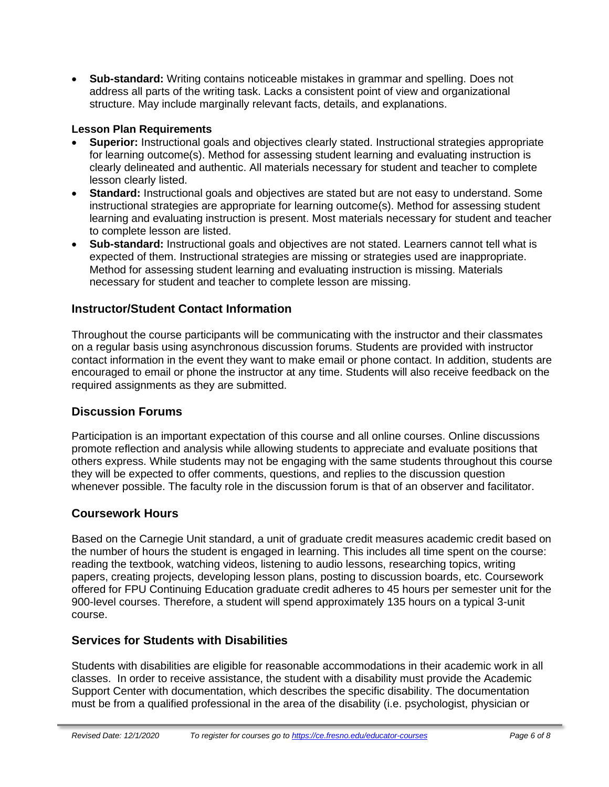• **Sub-standard:** Writing contains noticeable mistakes in grammar and spelling. Does not address all parts of the writing task. Lacks a consistent point of view and organizational structure. May include marginally relevant facts, details, and explanations.

### **Lesson Plan Requirements**

- **Superior:** Instructional goals and objectives clearly stated. Instructional strategies appropriate for learning outcome(s). Method for assessing student learning and evaluating instruction is clearly delineated and authentic. All materials necessary for student and teacher to complete lesson clearly listed.
- **Standard:** Instructional goals and objectives are stated but are not easy to understand. Some instructional strategies are appropriate for learning outcome(s). Method for assessing student learning and evaluating instruction is present. Most materials necessary for student and teacher to complete lesson are listed.
- **Sub-standard:** Instructional goals and objectives are not stated. Learners cannot tell what is expected of them. Instructional strategies are missing or strategies used are inappropriate. Method for assessing student learning and evaluating instruction is missing. Materials necessary for student and teacher to complete lesson are missing.

### **Instructor/Student Contact Information**

Throughout the course participants will be communicating with the instructor and their classmates on a regular basis using asynchronous discussion forums. Students are provided with instructor contact information in the event they want to make email or phone contact. In addition, students are encouraged to email or phone the instructor at any time. Students will also receive feedback on the required assignments as they are submitted.

### **Discussion Forums**

Participation is an important expectation of this course and all online courses. Online discussions promote reflection and analysis while allowing students to appreciate and evaluate positions that others express. While students may not be engaging with the same students throughout this course they will be expected to offer comments, questions, and replies to the discussion question whenever possible. The faculty role in the discussion forum is that of an observer and facilitator.

### **Coursework Hours**

Based on the Carnegie Unit standard, a unit of graduate credit measures academic credit based on the number of hours the student is engaged in learning. This includes all time spent on the course: reading the textbook, watching videos, listening to audio lessons, researching topics, writing papers, creating projects, developing lesson plans, posting to discussion boards, etc. Coursework offered for FPU Continuing Education graduate credit adheres to 45 hours per semester unit for the 900-level courses. Therefore, a student will spend approximately 135 hours on a typical 3-unit course.

### **Services for Students with Disabilities**

Students with disabilities are eligible for reasonable accommodations in their academic work in all classes. In order to receive assistance, the student with a disability must provide the Academic Support Center with documentation, which describes the specific disability. The documentation must be from a qualified professional in the area of the disability (i.e. psychologist, physician or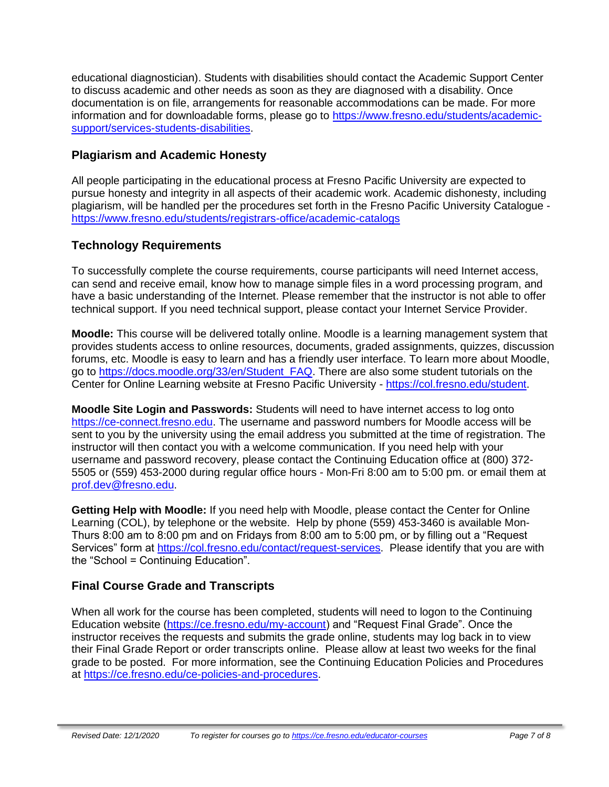educational diagnostician). Students with disabilities should contact the Academic Support Center to discuss academic and other needs as soon as they are diagnosed with a disability. Once documentation is on file, arrangements for reasonable accommodations can be made. For more information and for downloadable forms, please go to [https://www.fresno.edu/students/academic](https://www.fresno.edu/students/academic-support/services-students-disabilities)[support/services-students-disabilities.](https://www.fresno.edu/students/academic-support/services-students-disabilities)

## **Plagiarism and Academic Honesty**

All people participating in the educational process at Fresno Pacific University are expected to pursue honesty and integrity in all aspects of their academic work. Academic dishonesty, including plagiarism, will be handled per the procedures set forth in the Fresno Pacific University Catalogue <https://www.fresno.edu/students/registrars-office/academic-catalogs>

# **Technology Requirements**

To successfully complete the course requirements, course participants will need Internet access, can send and receive email, know how to manage simple files in a word processing program, and have a basic understanding of the Internet. Please remember that the instructor is not able to offer technical support. If you need technical support, please contact your Internet Service Provider.

**Moodle:** This course will be delivered totally online. Moodle is a learning management system that provides students access to online resources, documents, graded assignments, quizzes, discussion forums, etc. Moodle is easy to learn and has a friendly user interface. To learn more about Moodle, go to [https://docs.moodle.org/33/en/Student\\_FAQ.](https://docs.moodle.org/33/en/Student_FAQ) There are also some student tutorials on the Center for Online Learning website at Fresno Pacific University - [https://col.fresno.edu/student.](https://col.fresno.edu/student)

**Moodle Site Login and Passwords:** Students will need to have internet access to log onto [https://ce-connect.fresno.edu.](https://ce-connect.fresno.edu/) The username and password numbers for Moodle access will be sent to you by the university using the email address you submitted at the time of registration. The instructor will then contact you with a welcome communication. If you need help with your username and password recovery, please contact the Continuing Education office at (800) 372- 5505 or (559) 453-2000 during regular office hours - Mon-Fri 8:00 am to 5:00 pm. or email them at [prof.dev@fresno.edu.](mailto:prof.dev@fresno.edu)

**Getting Help with Moodle:** If you need help with Moodle, please contact the Center for Online Learning (COL), by telephone or the website. Help by phone (559) 453-3460 is available Mon-Thurs 8:00 am to 8:00 pm and on Fridays from 8:00 am to 5:00 pm, or by filling out a "Request Services" form at [https://col.fresno.edu/contact/request-services.](https://col.fresno.edu/contact/request-services) Please identify that you are with the "School = Continuing Education".

# **Final Course Grade and Transcripts**

When all work for the course has been completed, students will need to logon to the Continuing Education website [\(https://ce.fresno.edu/my-account\)](https://ce.fresno.edu/my-account) and "Request Final Grade". Once the instructor receives the requests and submits the grade online, students may log back in to view their Final Grade Report or order transcripts online. Please allow at least two weeks for the final grade to be posted. For more information, see the Continuing Education Policies and Procedures at [https://ce.fresno.edu/ce-policies-and-procedures.](https://ce.fresno.edu/ce-policies-and-procedures)